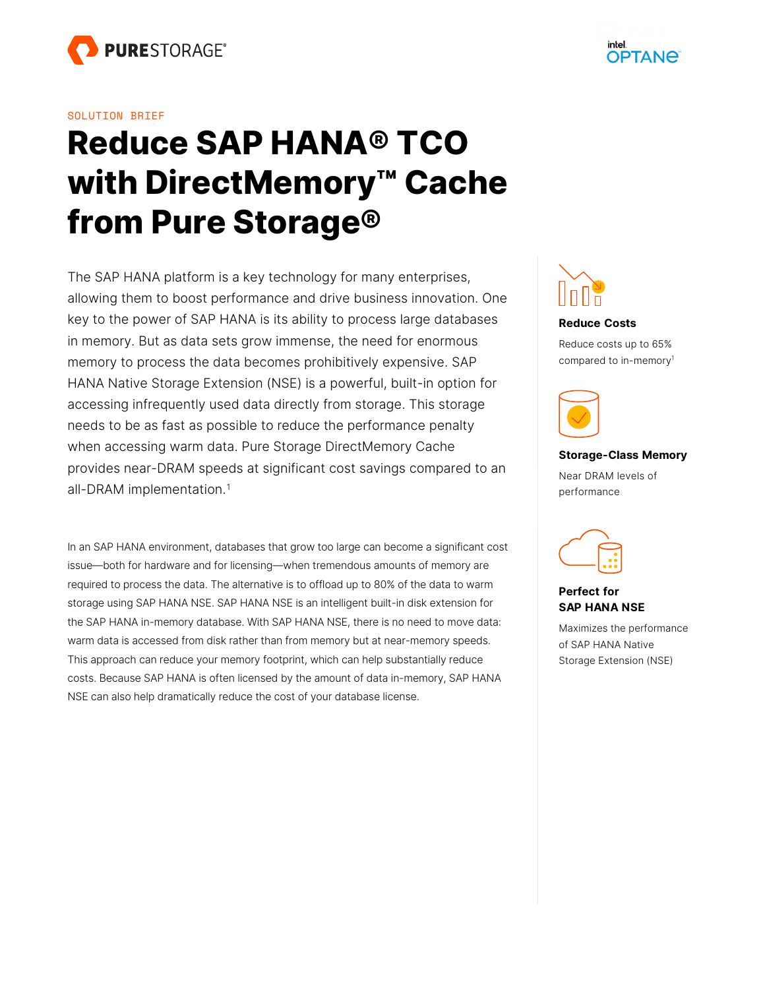#### SOLUTION BRIEF

# **Reduce SAP HANA® TCO with DirectMemory™ Cache from Pure Storage®**

The SAP HANA platform is a key technology for many enterprises, allowing them to boost performance and drive business innovation. One key to the power of SAP HANA is its ability to process large databases in memory. But as data sets grow immense, the need for enormous memory to process the data becomes prohibitively expensive. SAP HANA Native Storage Extension (NSE) is a powerful, built-in option for accessing infrequently used data directly from storage. This storage needs to be as fast as possible to reduce the performance penalty when accessing warm data. Pure Storage DirectMemory Cache provides near-DRAM speeds at significant cost savings compared to an all-DRAM implementation. [1](#page-4-0)

<span id="page-0-0"></span>In an SAP HANA environment, databases that grow too large can become a significant cost issue—both for hardware and for licensing—when tremendous amounts of memory are required to process the data. The alternative is to offload up to 80% of the data to warm storage using SAP HANA NSE. SAP HANA NSE is an intelligent built-in disk extension for the SAP HANA in-memory database. With SAP HANA NSE, there is no need to move data: warm data is accessed from disk rather than from memory but at near-memory speeds. This approach can reduce your memory footprint, which can help substantially reduce costs. Because SAP HANA is often licensed by the amount of data in-memory, SAP HANA NSE can also help dramatically reduce the cost of your database license.



#### **Reduce Costs**

Reduce costs up to 65% compared to in-memor[y](#page-0-0)<sup>1</sup>



# **Storage-Class Memory**

Near DRAM levels of performance



#### **Perfect for SAP HANA NSE**

Maximizes the performance of SAP HANA Native Storage Extension (NSE)

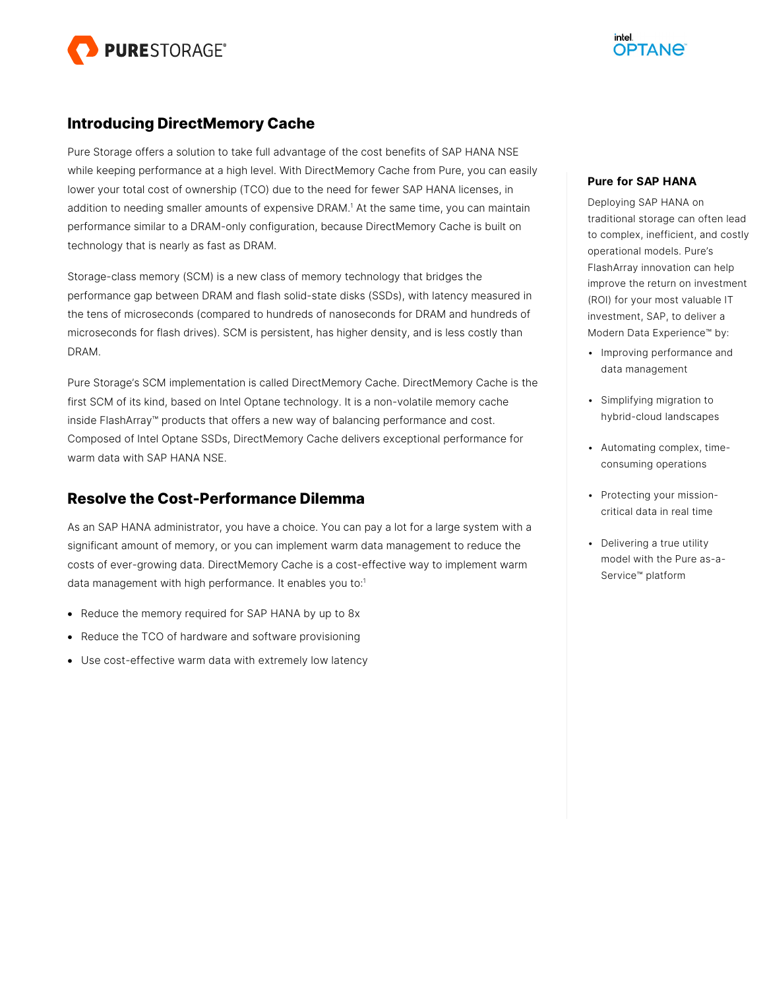

## **Introducing DirectMemory Cache**

Pure Storage offers a solution to take full advantage of the cost benefits of SAP HANA NSE while keeping performance at a high level. With DirectMemory Cache from Pure, you can easily lower your total cost of ownership (TCO) due to the need for fewer SAP HANA licenses, in addition to needing smaller amounts of expensive DRA[M.](#page-0-0) <sup>1</sup> At the same time, you can maintain performance similar to a DRAM-only configuration, because DirectMemory Cache is built on technology that is nearly as fast as DRAM.

Storage-class memory (SCM) is a new class of memory technology that bridges the performance gap between DRAM and flash solid-state disks (SSDs), with latency measured in the tens of microseconds (compared to hundreds of nanoseconds for DRAM and hundreds of microseconds for flash drives). SCM is persistent, has higher density, and is less costly than DRAM.

Pure Storage's SCM implementation is called DirectMemory Cache. DirectMemory Cache is the first SCM of its kind, based on Intel Optane technology. It is a non-volatile memory cache inside FlashArray™ products that offers a new way of balancing performance and cost. Composed of Intel Optane SSDs, DirectMemory Cache delivers exceptional performance for warm data with SAP HANA NSE.

## **Resolve the Cost-Performance Dilemma**

As an SAP HANA administrator, you have a choice. You can pay a lot for a large system with a significant amount of memory, or you can implement warm data management to reduce the costs of ever-growing data. DirectMemory Cache is a cost-effective way to implement warm data management with high performance. It enables you to[:](#page-0-0) 1

- Reduce the memory required for SAP HANA by up to 8x
- Reduce the TCO of hardware and software provisioning
- Use cost-effective warm data with extremely low latency

#### **Pure for SAP HANA**

Deploying SAP HANA on traditional storage can often lead to complex, inefficient, and costly operational models. Pure's FlashArray innovation can help improve the return on investment (ROI) for your most valuable IT investment, SAP, to deliver a Modern Data Experience™ by:

- Improving performance and data management
- Simplifying migration to hybrid-cloud landscapes
- Automating complex, timeconsuming operations
- Protecting your missioncritical data in real time
- Delivering a true utility model with the Pure as-a-Service™ platform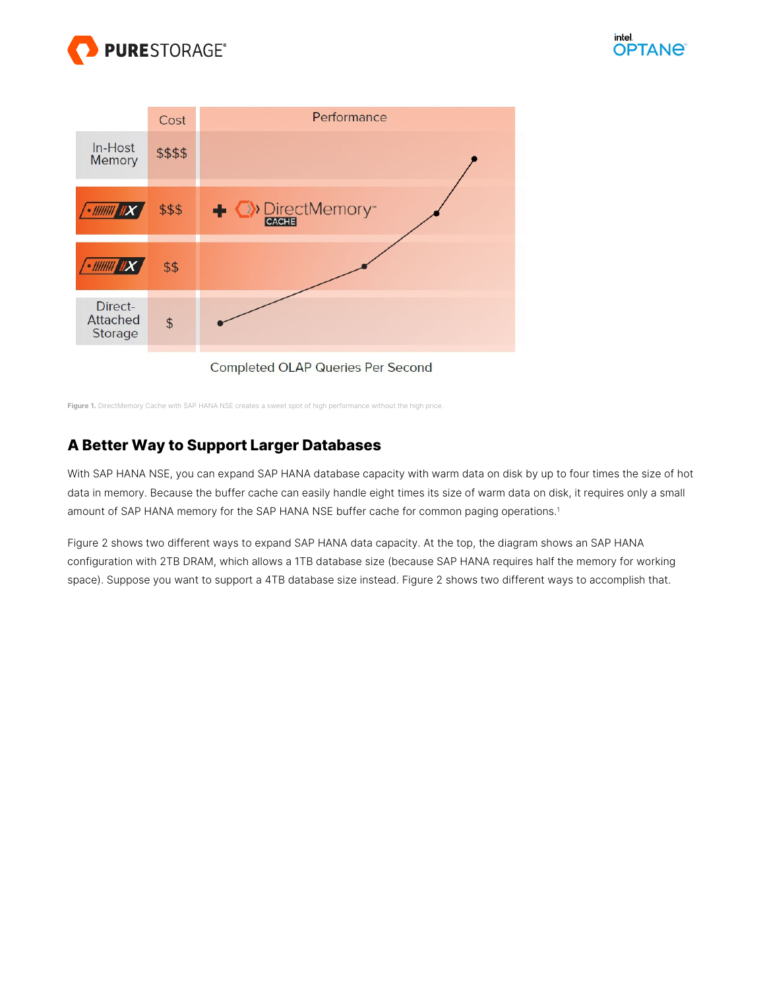



**Figure 1.** DirectMemory Cache with SAP HANA NSE creates a sweet spot of high performance without the high price.

# **A Better Way to Support Larger Databases**

With SAP HANA NSE, you can expand SAP HANA database capacity with warm data on disk by up to four times the size of hot data in memory. Because the buffer cache can easily handle eight times its size of warm data on disk, it requires only a small amount of SAP HANA memory for the SAP HANA NSE buffer cache for common paging operations[.](#page-0-0) 1

Figure 2 shows two different ways to expand SAP HANA data capacity. At the top, the diagram shows an SAP HANA configuration with 2TB DRAM, which allows a 1TB database size (because SAP HANA requires half the memory for working space). Suppose you want to support a 4TB database size instead. Figure 2 shows two different ways to accomplish that.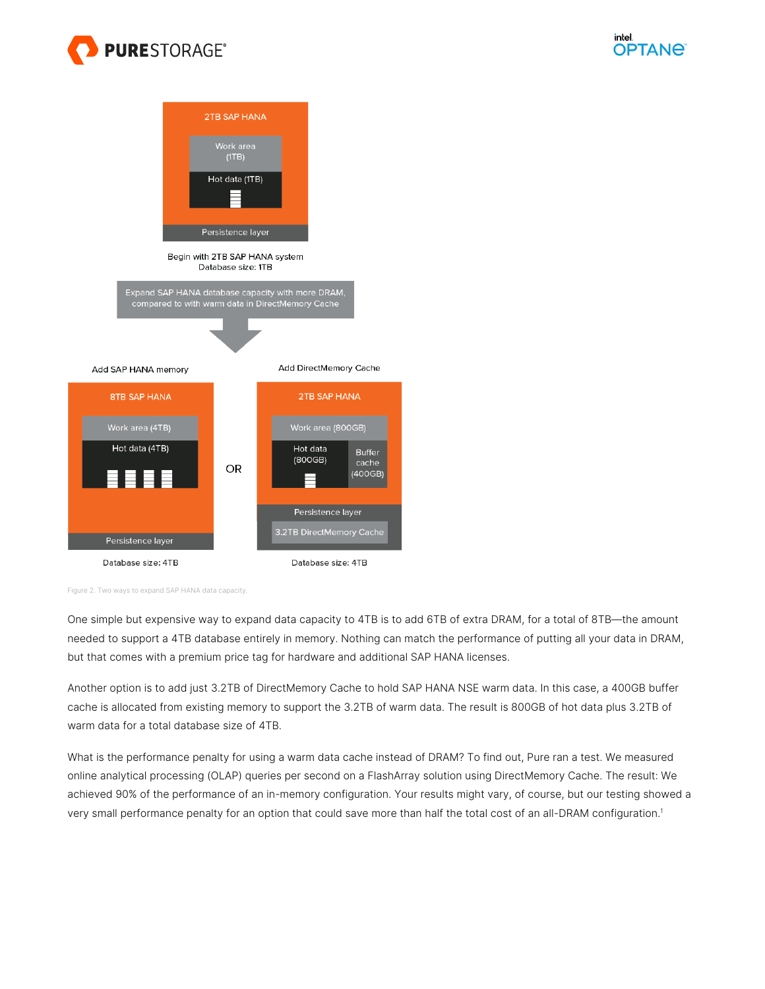





Figure 2. Two ways to expand SAP HANA data capacity.

One simple but expensive way to expand data capacity to 4TB is to add 6TB of extra DRAM, for a total of 8TB—the amount needed to support a 4TB database entirely in memory. Nothing can match the performance of putting all your data in DRAM, but that comes with a premium price tag for hardware and additional SAP HANA licenses.

Another option is to add just 3.2TB of DirectMemory Cache to hold SAP HANA NSE warm data. In this case, a 400GB buffer cache is allocated from existing memory to support the 3.2TB of warm data. The result is 800GB of hot data plus 3.2TB of warm data for a total database size of 4TB.

What is the performance penalty for using a warm data cache instead of DRAM? To find out, Pure ran a test. We measured online analytical processing (OLAP) queries per second on a FlashArray solution using DirectMemory Cache. The result: We achieved 90% of the performance of an in-memory configuration. Your results might vary, of course, but our testing showed a very small performance penalty for an option that could save more than half the total cost of an all-DRAM configuration[.1](#page-0-0)